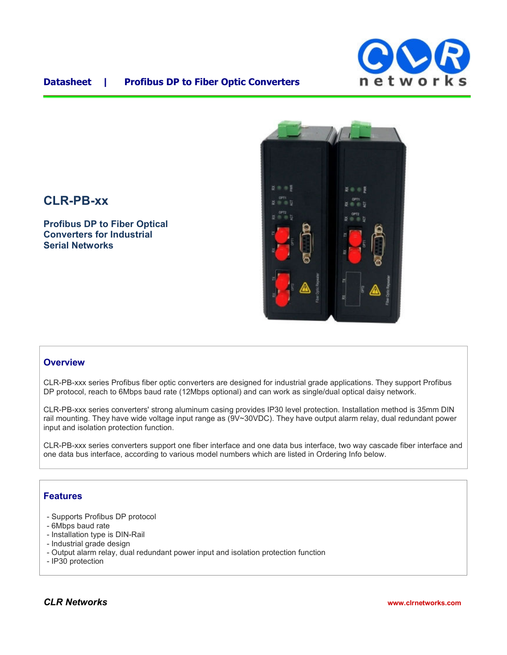

#### **Datasheet | Profibus DP to Fiber Optic Converters**



# **CLR-PB-xx**

**Profibus DP to Fiber Optical Converters for Industrial Serial Networks**

#### **Overview**

CLR-PB-xxx series Profibus fiber optic converters are designed for industrial grade applications. They support Profibus DP protocol, reach to 6Mbps baud rate (12Mbps optional) and can work as single/dual optical daisy network.

CLR-PB-xxx series converters' strong aluminum casing provides IP30 level protection. Installation method is 35mm DIN rail mounting. They have wide voltage input range as (9V~30VDC). They have output alarm relay, dual redundant power input and isolation protection function.

CLR-PB-xxx series converters support one fiber interface and one data bus interface, two way cascade fiber interface and one data bus interface, according to various model numbers which are listed in Ordering Info below.

### **Features**

- Supports Profibus DP protocol
- 6Mbps baud rate
- Installation type is DIN-Rail
- Industrial grade design
- Output alarm relay, dual redundant power input and isolation protection function
- IP30 protection